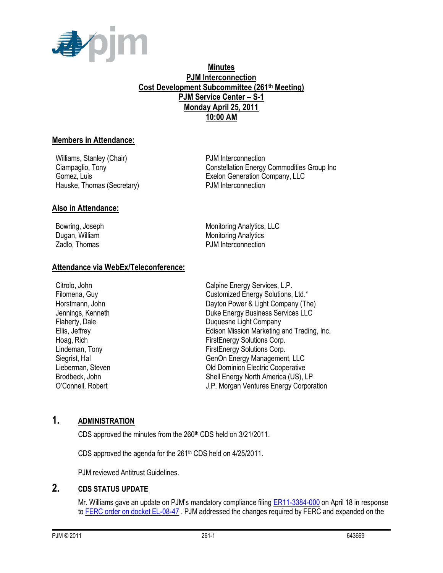

#### **Minutes PJM Interconnection Cost Development Subcommittee (261th Meeting) PJM Service Center – S-1 Monday April 25, 2011 10:00 AM**

#### **Members in Attendance:**

Williams, Stanley (Chair) example and the PJM Interconnection Hauske, Thomas (Secretary) The PJM Interconnection

Ciampaglio, Tony Constellation Energy Commodities Group Inc Gomez, Luis Exelon Generation Company, LLC

#### **Also in Attendance:**

Bowring, Joseph **Monitoring Analytics**, LLC Dugan, William Monitoring Analytics Zadlo, Thomas **PJM** Interconnection

#### **Attendance via WebEx/Teleconference:**

Citrolo, John Calpine Energy Services, L.P. Filomena, Guy Customized Energy Solutions, Ltd.\* Horstmann, John **Dayton Power & Light Company (The)** Jennings, Kenneth Duke Energy Business Services LLC Flaherty, Dale **Duquesne Light Company** Ellis, Jeffrey Edison Mission Marketing and Trading, Inc. Hoag, Rich FirstEnergy Solutions Corp. Lindeman, Tony **FirstEnergy Solutions Corp.** Siegrist, Hal GenOn Energy Management, LLC Lieberman, Steven Old Dominion Electric Cooperative Brodbeck, John Shell Energy North America (US), LP O'Connell, Robert J.P. Morgan Ventures Energy Corporation

# **1. ADMINISTRATION**

CDS approved the minutes from the 260<sup>th</sup> CDS held on 3/21/2011.

CDS approved the agenda for the 261<sup>th</sup> CDS held on 4/25/2011.

PJM reviewed Antitrust Guidelines.

## **2. CDS STATUS UPDATE**

Mr. Williams gave an update on PJM's mandatory compliance filing [ER11-3384-000](http://elibrary.ferc.gov/idmws/file_list.asp?accession_num=20110418-5230) on April 18 in response to [FERC order on docket EL-08-47](http://elibrary.ferc.gov/idmws/file_list.asp?accession_num=20110317-3012) . PJM addressed the changes required by FERC and expanded on the